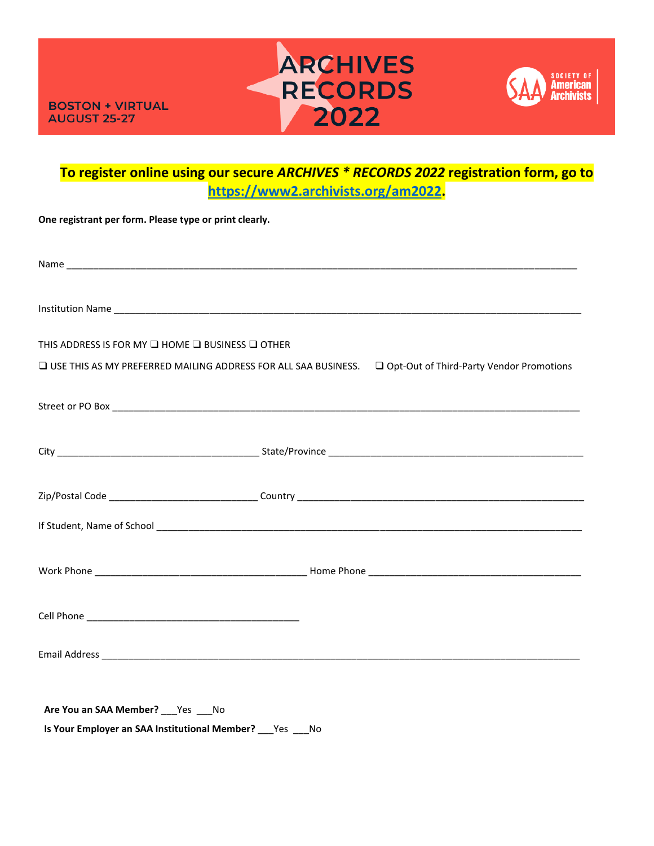



## **To register online using our secure** *ARCHIVES \* RECORDS 2022* **registration form, go to [https://www2.archivists.org/am2022.](https://www2.archivists.org/am2022)**

| One registrant per form. Please type or print clearly.                   |                                                                                                             |
|--------------------------------------------------------------------------|-------------------------------------------------------------------------------------------------------------|
|                                                                          |                                                                                                             |
|                                                                          |                                                                                                             |
| THIS ADDRESS IS FOR MY $\square$ HOME $\square$ BUSINESS $\square$ OTHER |                                                                                                             |
|                                                                          | □ USE THIS AS MY PREFERRED MAILING ADDRESS FOR ALL SAA BUSINESS. □ Opt-Out of Third-Party Vendor Promotions |
|                                                                          |                                                                                                             |
|                                                                          |                                                                                                             |
|                                                                          |                                                                                                             |
|                                                                          |                                                                                                             |
|                                                                          |                                                                                                             |
|                                                                          |                                                                                                             |
|                                                                          |                                                                                                             |
|                                                                          |                                                                                                             |
| Are You an SAA Member? Yes No                                            |                                                                                                             |

**Is Your Employer an SAA Institutional Member?** \_\_\_Yes \_\_\_No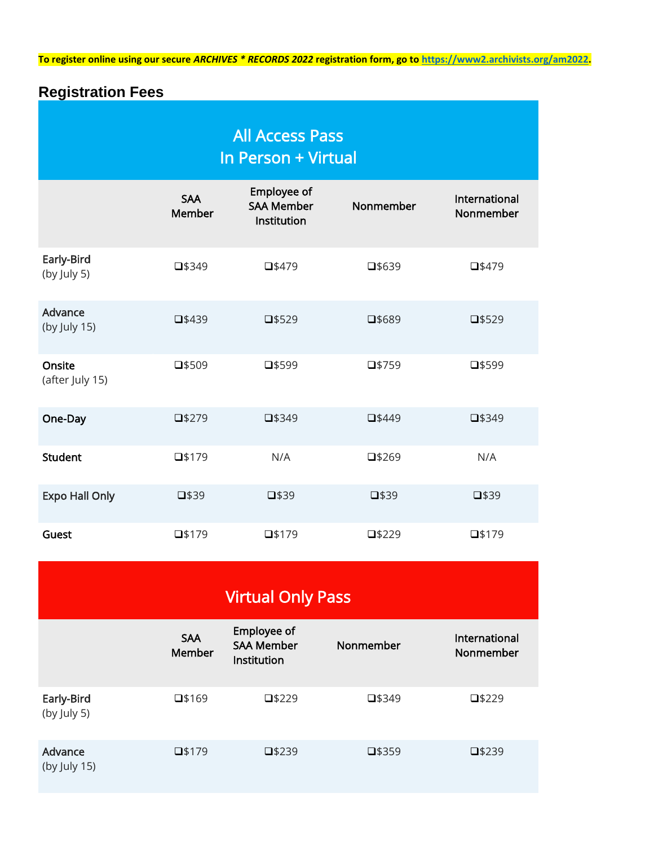**To register online using our secure** *ARCHIVES \* RECORDS 2022* **registration form, go to [https://www2.archivists.org/am2022.](https://www2.archivists.org/am2022)**

# **Registration Fees**

| <b>All Access Pass</b><br>In Person + Virtual |                      |                                                 |                 |                            |  |  |  |
|-----------------------------------------------|----------------------|-------------------------------------------------|-----------------|----------------------------|--|--|--|
|                                               | <b>SAA</b><br>Member | Employee of<br><b>SAA Member</b><br>Institution | Nonmember       | International<br>Nonmember |  |  |  |
| Early-Bird<br>(by July 5)                     | □\$349               | $\square$ \$479                                 | $\square$ \$639 | $\square$ \$479            |  |  |  |
| Advance<br>(by July 15)                       | $\square$ \$439      | $\square$ \$529                                 | $\square$ \$689 | $\square$ \$529            |  |  |  |
| Onsite<br>(after July 15)                     | $\square$ \$509      | $\square$ \$599                                 | $\square$ \$759 | $\square$ \$599            |  |  |  |
| One-Day                                       | $\square$ \$279      | $\square$ \$349                                 | $\square$ \$449 | $\square$ \$349            |  |  |  |
| <b>Student</b>                                | $\square$ \$179      | N/A                                             | $\square$ \$269 | N/A                        |  |  |  |
| <b>Expo Hall Only</b>                         | $\square$ \$39       | $\square$ \$39                                  | $\square$ \$39  | $\square$ \$39             |  |  |  |
| Guest                                         | $\square$ \$179      | $\square$ \$179                                 | $\square$ \$229 | $\square$ \$179            |  |  |  |

Virtual Only Pass

|                           | <b>SAA</b><br>Member | Employee of<br><b>SAA Member</b><br>Institution | Nonmember       | International<br>Nonmember |
|---------------------------|----------------------|-------------------------------------------------|-----------------|----------------------------|
| Early-Bird<br>(by July 5) | $\square$ \$169      | $\square$ \$229                                 | $\square$ \$349 | $\square$ \$229            |
| Advance<br>(by July 15)   | $\square$ \$179      | $\square$ \$239                                 | $\square$ \$359 | $\square$ \$239            |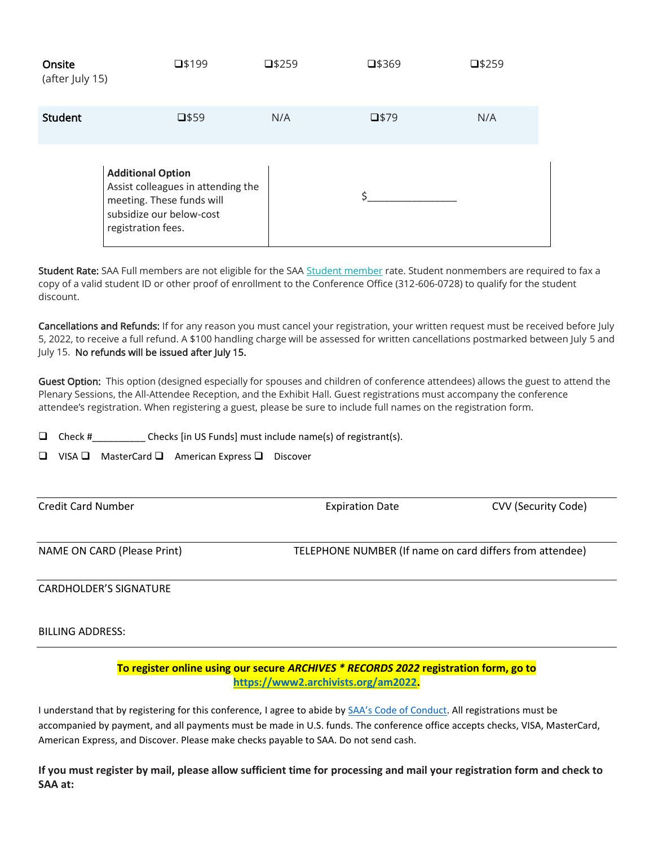| Onsite<br>(after July 15) | $\square$ \$199                                                                                                                               | $\square$ \$259 | $\square$ \$369 | $\square$ \$259 |
|---------------------------|-----------------------------------------------------------------------------------------------------------------------------------------------|-----------------|-----------------|-----------------|
| Student                   | $\square$ \$59                                                                                                                                | N/A             | $\square$ \$79  | N/A             |
|                           | <b>Additional Option</b><br>Assist colleagues in attending the<br>meeting. These funds will<br>subsidize our below-cost<br>registration fees. |                 |                 |                 |

Student Rate: SAA Full members are not eligible for the SAA [Student member](http://www2.archivists.org/membership/student) rate. Student nonmembers are required to fax a copy of a valid student ID or other proof of enrollment to the Conference Office (312-606-0728) to qualify for the student discount.

Cancellations and Refunds: If for any reason you must cancel your registration, your written request must be received before July 5, 2022, to receive a full refund. A \$100 handling charge will be assessed for written cancellations postmarked between July 5 and July 15. No refunds will be issued after July 15.

Guest Option: This option (designed especially for spouses and children of conference attendees) allows the guest to attend the Plenary Sessions, the All-Attendee Reception, and the Exhibit Hall. Guest registrations must accompany the conference attendee's registration. When registering a guest, please be sure to include full names on the registration form.

 $\Box$  Check # Checks [in US Funds] must include name(s) of registrant(s).

❑ VISA ❑ MasterCard ❑ American Express ❑ Discover

Credit Card Number Expiration Date CVV (Security Code)

NAME ON CARD (Please Print) TELEPHONE NUMBER (If name on card differs from attendee)

#### CARDHOLDER'S SIGNATURE

#### BILLING ADDRESS:

#### **To register online using our secure** *ARCHIVES \* RECORDS 2022* **registration form, go to [https://www2.archivists.org/am2022.](https://www2.archivists.org/am2022)**

I understand that by registering for this conference, I agree to abide by [SAA's Code of Conduct](https://www2.archivists.org/statements/saa-code-of-conduct). All registrations must be accompanied by payment, and all payments must be made in U.S. funds. The conference office accepts checks, VISA, MasterCard, American Express, and Discover. Please make checks payable to SAA. Do not send cash.

**If you must register by mail, please allow sufficient time for processing and mail your registration form and check to SAA at:**